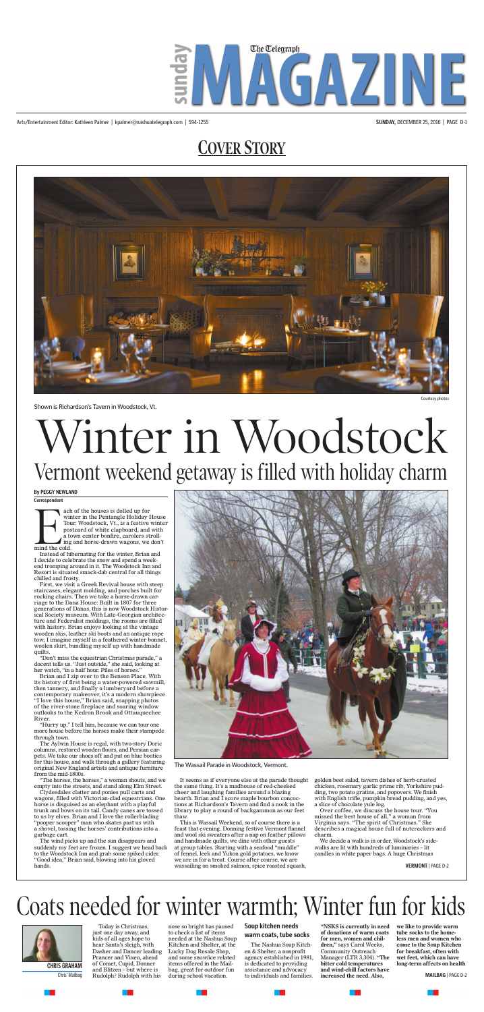# **COVER STORY**

Arts/Entertainment Editor: Kathleen Palmer | kpalmer@nashuatelegraph.com | 594-1255 **SUNDAY,** DECEMBER 25, 2016 | PAGE D-1





Shown is Richardson's Tavern in Woodstock, Vt.

ach of the houses is dolled up for winter in the Pentangle Holiday House Tour. Woodstock, Vt., is a festive winter postcard of white clapboard, and with a town center bonfire, carolers strolling and horse-drawn wagons, we don't





Instead of hibernating for the winter, Brian and I decide to celebrate the snow and spend a weekend tromping around in it. The Woodstock Inn and Resort is situated smack-dab central for all things chilled and frosty.

First, we visit a Greek Revival house with steep staircases, elegant molding, and porches built for rocking chairs. Then we take a horse-drawn carriage to the Dana House: Built in 1807 for three generations of Danas, this is now Woodstock Historical Society museum. With Late-Georgian architecture and Federalist moldings, the rooms are filled with history. Brian enjoys looking at the vintage wooden skis, leather ski boots and an antique rope tow; I imagine myself in a feathered winter bonnet, woolen skirt, bundling myself up with handmade quilts.

"Don't miss the equestrian Christmas parade," a docent tells us. "Just outside," she said, looking at her watch, "in a half hour. Piles of horses."

Brian and I zip over to the Benson Place. With its history of first being a water-powered sawmill, then tannery, and finally a lumberyard before a contemporary makeover, it's a modern showpiece. "I love this house," Brian said, snapping photos of the river-stone fireplace and soaring window outlooks to the Kedron Brook and Ottauquechee River.

"Hurry up," I tell him, because we can tour one more house before the horses make their stampede through town.

The Aylwin House is regal, with two-story Doric columns, restored wooden floors, and Persian carpets. We take our shoes off and put on blue booties for this house, and walk through a gallery featuring original New England artists and antique furniture from the mid-1800s.

Today is Christmas, just one day away, and kids of all ages hope to hear Santa's sleigh, with Dasher and Dancer leading Prancer and Vixen, ahead of Comet, Cupid, Donner and Blitzen – but where is Chris' Mailbag Rudolph? Rudolph with his during school vacation. to individuals and families. **increased the need. Also, MAILBAG** | PAGE D-2 **CHRIS GRAHAM** of Comet, Cupid, Donner items offered in the Mail-<br> **CHRIS GRAHAM** of Dittant but the politic state of the activity for the continuous of the company of the control of the control of the control of the contr

"The horses, the horses," a woman shouts, and we empty into the streets, and stand along Elm Street.

Clydesdales clatter and ponies pull carts and wagons, filled with Victorian-clad equestrians. One horse is disguised as an elephant with a playful trunk and bows on its tail. Candy canes are tossed to us by elves. Brian and I love the rollerblading "pooper scooper" man who skates past us with a shovel, tossing the horses' contributions into a garbage cart.

The wind picks up and the sun disappears and suddenly my feet are frozen. I suggest we head back to the Woodstock Inn and grab some spiked cider. "Good idea," Brian said, blowing into his gloved hands.

It seems as if everyone else at the parade thought the same thing. It's a madhouse of red-cheeked cheer and laughing families around a blazing hearth. Brian and I score maple bourbon concoctions at Richardson's Tavern and find a nook in the library to play a round of backgammon as our feet thaw.

This is Wassail Weekend, so of course there is a feast that evening. Donning festive Vermont flannel and wool ski sweaters after a nap on feather pillows and handmade quilts, we dine with other guests at group tables. Starting with a seafood "muddle" of fennel, leek and Yukon gold potatoes, we know we are in for a treat. Course after course, we are wassailing on smoked salmon, spice roasted squash, golden beet salad, tavern dishes of herb-crusted chicken, rosemary garlic prime rib, Yorkshire pudding, two potato gratins, and popovers. We finish with English trifle, pumpkin bread pudding, and yes, a slice of chocolate yule log.

Over coffee, we discuss the house tour. "You missed the best house of all," a woman from Virginia says. "The spirit of Christmas." She describes a magical house full of nutcrackers and charm.

We decide a walk is in order. Woodstock's sidewalks are lit with hundreds of luminaries – lit candles in white paper bags. A huge Christmas

**By PEGGY NEWLAND**

# Winter in Woodstock Vermont weekend getaway is filled with holiday charm

# Coats needed for winter warmth; Winter fun for kids



nose so bright has paused to check a list of items needed at the Nashua Soup Kitchen and Shelter, at the Lucky Dog Resale Shop, and some snow/ice related items offered in the Mailbag, great for outdoor fun during school vacation.

# **Soup kitchen needs**

## **warm coats, tube socks**

The Nashua Soup Kitchen & Shelter, a nonprofit agency established in 1981, is dedicated to providing assistance and advocacy to individuals and families.

**"NSKS is currently in need of donations of warm coats for men, women and children,"** says Carol Weeks, Community Outreach Manager (LTR 3,304). **"The bitter cold temperatures and wind-chill factors have increased the need. Also,** 

**we like to provide warm tube socks to the homeless men and women who come to the Soup Kitchen for breakfast, often with wet feet, which can have** 

The Wassail Parade in Woodstock, Vermont.

**VERMONT** | PAGE D-2